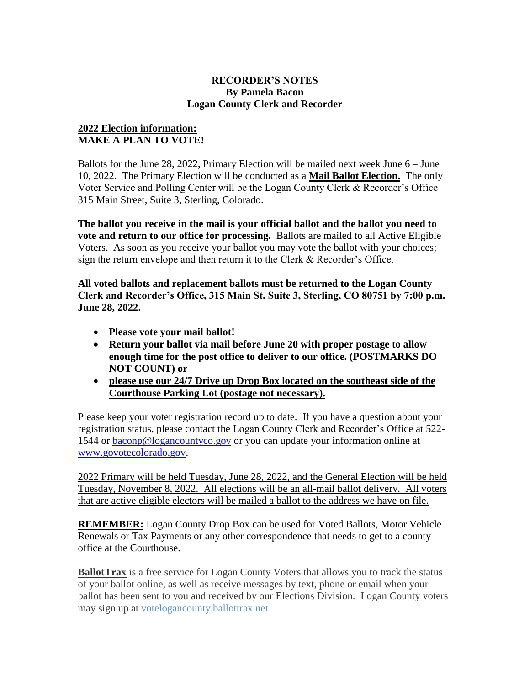## **RECORDER'S NOTES By Pamela Bacon Logan County Clerk and Recorder**

## **2022 Election information: MAKE A PLAN TO VOTE!**

Ballots for the June 28, 2022, Primary Election will be mailed next week June 6 – June 10, 2022. The Primary Election will be conducted as a **Mail Ballot Election.** The only Voter Service and Polling Center will be the Logan County Clerk & Recorder's Office 315 Main Street, Suite 3, Sterling, Colorado.

**The ballot you receive in the mail is your official ballot and the ballot you need to vote and return to our office for processing.** Ballots are mailed to all Active Eligible Voters. As soon as you receive your ballot you may vote the ballot with your choices; sign the return envelope and then return it to the Clerk & Recorder's Office.

**All voted ballots and replacement ballots must be returned to the Logan County Clerk and Recorder's Office, 315 Main St. Suite 3, Sterling, CO 80751 by 7:00 p.m. June 28, 2022.** 

- **Please vote your mail ballot!**
- **Return your ballot via mail before June 20 with proper postage to allow enough time for the post office to deliver to our office. (POSTMARKS DO NOT COUNT) or**
- **please use our 24/7 Drive up Drop Box located on the southeast side of the Courthouse Parking Lot (postage not necessary).**

Please keep your voter registration record up to date. If you have a question about your registration status, please contact the Logan County Clerk and Recorder's Office at 522- 1544 or [baconp@logancountyco.gov](mailto:baconp@logancountyco.gov) or you can update your information online at [www.govotecolorado.gov.](http://www.govotecolorado.gov/)

2022 Primary will be held Tuesday, June 28, 2022, and the General Election will be held Tuesday, November 8, 2022. All elections will be an all-mail ballot delivery. All voters that are active eligible electors will be mailed a ballot to the address we have on file.

**REMEMBER:** Logan County Drop Box can be used for Voted Ballots, Motor Vehicle Renewals or Tax Payments or any other correspondence that needs to get to a county office at the Courthouse.

**BallotTrax** is a free service for Logan County Voters that allows you to track the status of your ballot online, as well as receive messages by text, phone or email when your ballot has been sent to you and received by our Elections Division. Logan County voters may sign up at [votelogancounty.ballottrax.net](http://votelogancounty.ballottrax.net/)